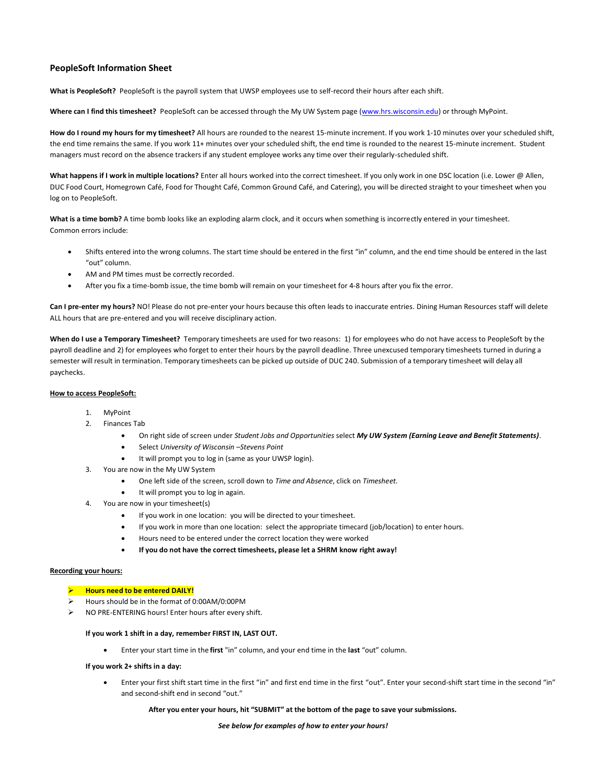# **PeopleSoft Information Sheet**

**What is PeopleSoft?** PeopleSoft is the payroll system that UWSP employees use to self-record their hours after each shift.

**Where can I find this timesheet?** PeopleSoft can be accessed through the My UW System page [\(www.hrs.wisconsin.edu\)](http://www.hrs.wisconsin.edu/) or through MyPoint.

**How do I round my hours for my timesheet?** All hours are rounded to the nearest 15-minute increment. If you work 1-10 minutes over your scheduled shift, the end time remains the same. If you work 11+ minutes over your scheduled shift, the end time is rounded to the nearest 15-minute increment. Student managers must record on the absence trackers if any student employee works any time over their regularly-scheduled shift.

**What happens if I work in multiple locations?** Enter all hours worked into the correct timesheet. If you only work in one DSC location (i.e. Lower @ Allen, DUC Food Court, Homegrown Café, Food for Thought Café, Common Ground Café, and Catering), you will be directed straight to your timesheet when you log on to PeopleSoft.

What is a time bomb? A time bomb looks like an exploding alarm clock, and it occurs when something is incorrectly entered in your timesheet. Common errors include:

- Shifts entered into the wrong columns. The start time should be entered in the first "in" column, and the end time should be entered in the last "out" column.
- AM and PM times must be correctly recorded.
- After you fix a time-bomb issue, the time bomb will remain on your timesheet for 4-8 hours after you fix the error.

Can I pre-enter my hours? NO! Please do not pre-enter your hours because this often leads to inaccurate entries. Dining Human Resources staff will delete ALL hours that are pre-entered and you will receive disciplinary action.

**When do I use a Temporary Timesheet?** Temporary timesheets are used for two reasons: 1) for employees who do not have access to PeopleSoft by the payroll deadline and 2) for employees who forget to enter their hours by the payroll deadline. Three unexcused temporary timesheets turned in during a semester will result in termination. Temporary timesheets can be picked up outside of DUC 240. Submission of a temporary timesheet will delay all paychecks.

## **How to access PeopleSoft:**

- 1. MyPoint
- 2. Finances Tab
	- On right side of screen under *Student Jobs and Opportunities* select *My UW System (Earning Leave and Benefit Statements)*.
	- Select *University of Wisconsin –Stevens Point*
	- It will prompt you to log in (same as your UWSP login).
- 3. You are now in the My UW System
	- One left side of the screen, scroll down to *Time and Absence*, click on *Timesheet.*
	- It will prompt you to log in again.
- 4. You are now in your timesheet(s)
	- If you work in one location: you will be directed to your timesheet.
	- If you work in more than one location: select the appropriate timecard (job/location) to enter hours.
	- Hours need to be entered under the correct location they were worked
	- **If you do not have the correct timesheets, please let a SHRM know right away!**

## **Recording your hours:**

## ➢ **Hours need to be entered DAILY!**

- ➢ Hours should be in the format of 0:00AM/0:00PM
- ➢ NO PRE-ENTERING hours! Enter hours after every shift.

## **If you work 1 shift in a day, remember FIRST IN, LAST OUT.**

• Enter your start time in the **first** "in" column, and your end time in the **last** "out" column.

## **If you work 2+ shifts in a day:**

• Enter your first shift start time in the first "in" and first end time in the first "out". Enter your second-shift start time in the second "in" and second-shift end in second "out."

## **After you enter your hours, hit "SUBMIT" at the bottom of the page to save your submissions.**

#### *See below for examples of how to enter your hours!*